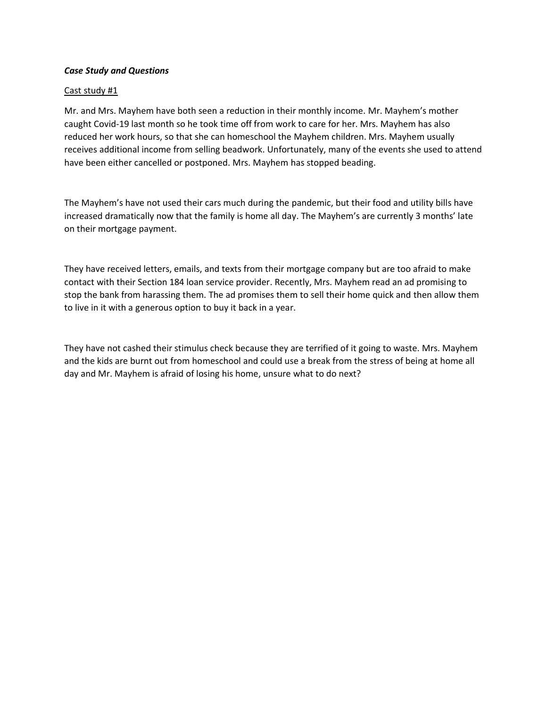# *Case Study and Questions*

# Cast study #1

Mr. and Mrs. Mayhem have both seen a reduction in their monthly income. Mr. Mayhem's mother caught Covid-19 last month so he took time off from work to care for her. Mrs. Mayhem has also reduced her work hours, so that she can homeschool the Mayhem children. Mrs. Mayhem usually receives additional income from selling beadwork. Unfortunately, many of the events she used to attend have been either cancelled or postponed. Mrs. Mayhem has stopped beading.

The Mayhem's have not used their cars much during the pandemic, but their food and utility bills have increased dramatically now that the family is home all day. The Mayhem's are currently 3 months' late on their mortgage payment.

They have received letters, emails, and texts from their mortgage company but are too afraid to make contact with their Section 184 loan service provider. Recently, Mrs. Mayhem read an ad promising to stop the bank from harassing them. The ad promises them to sell their home quick and then allow them to live in it with a generous option to buy it back in a year.

They have not cashed their stimulus check because they are terrified of it going to waste. Mrs. Mayhem and the kids are burnt out from homeschool and could use a break from the stress of being at home all day and Mr. Mayhem is afraid of losing his home, unsure what to do next?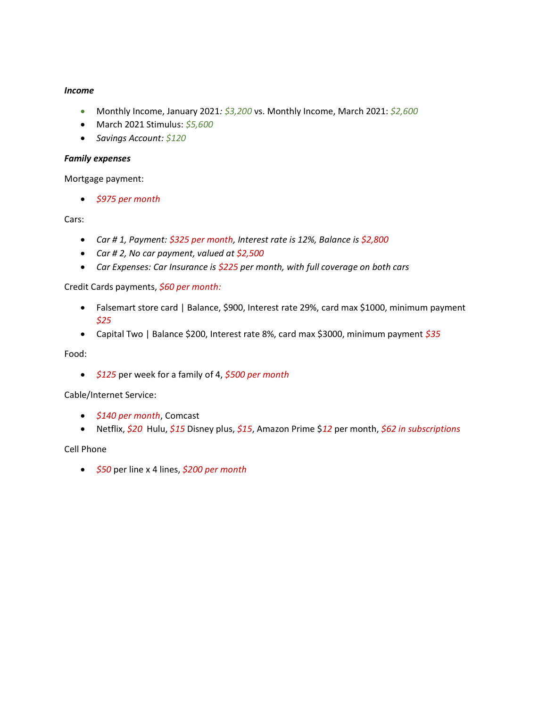# *Income*

- Monthly Income, January 2021*: \$3,200* vs. Monthly Income, March 2021: *\$2,600*
- March 2021 Stimulus: *\$5,600*
- *Savings Account: \$120*

#### *Family expenses*

Mortgage payment:

• *\$975 per month*

## Cars:

- *Car # 1, Payment: \$325 per month, Interest rate is 12%, Balance is \$2,800*
- *Car # 2, No car payment, valued at \$2,500*
- *Car Expenses: Car Insurance is \$225 per month, with full coverage on both cars*

Credit Cards payments, *\$60 per month:*

- Falsemart store card | Balance, \$900, Interest rate 29%, card max \$1000, minimum payment *\$25*
- Capital Two | Balance \$200, Interest rate 8%, card max \$3000, minimum payment *\$35*

Food:

• *\$125* per week for a family of 4, *\$500 per month* 

Cable/Internet Service:

- *\$140 per month*, Comcast
- Netflix, *\$20* Hulu, *\$15* Disney plus, *\$15*, Amazon Prime \$*12* per month, *\$62 in subscriptions*

Cell Phone

• *\$50* per line x 4 lines, *\$200 per month*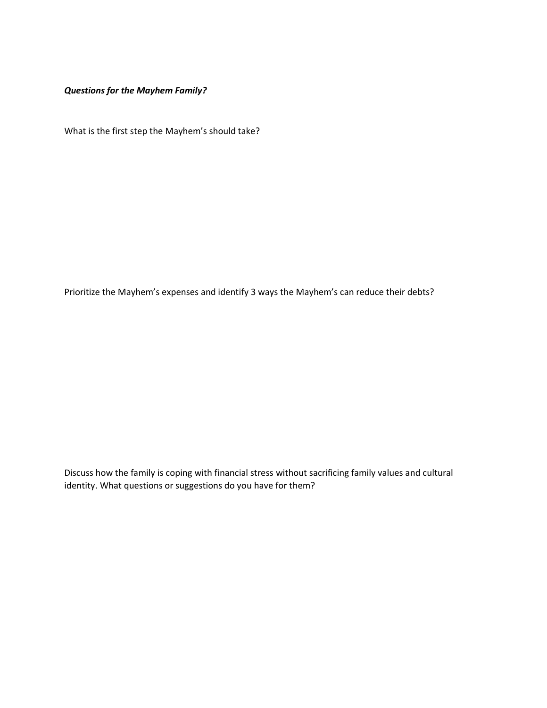*Questions for the Mayhem Family?*

What is the first step the Mayhem's should take?

Prioritize the Mayhem's expenses and identify 3 ways the Mayhem's can reduce their debts?

Discuss how the family is coping with financial stress without sacrificing family values and cultural identity. What questions or suggestions do you have for them?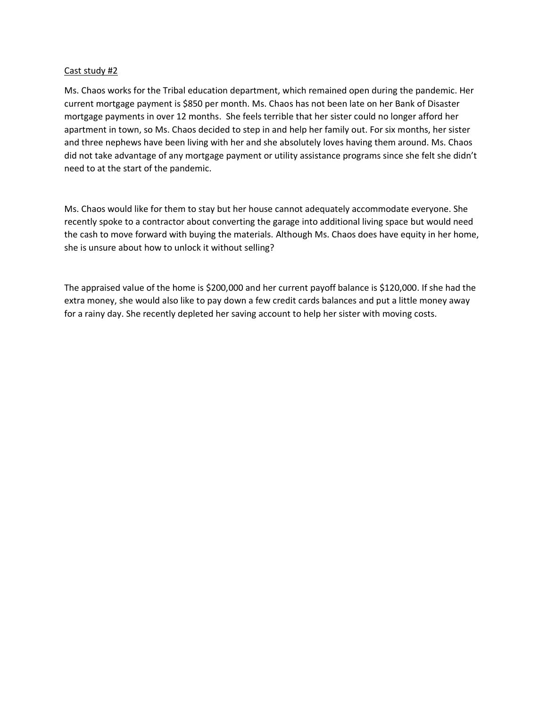# Cast study #2

Ms. Chaos works for the Tribal education department, which remained open during the pandemic. Her current mortgage payment is \$850 per month. Ms. Chaos has not been late on her Bank of Disaster mortgage payments in over 12 months. She feels terrible that her sister could no longer afford her apartment in town, so Ms. Chaos decided to step in and help her family out. For six months, her sister and three nephews have been living with her and she absolutely loves having them around. Ms. Chaos did not take advantage of any mortgage payment or utility assistance programs since she felt she didn't need to at the start of the pandemic.

Ms. Chaos would like for them to stay but her house cannot adequately accommodate everyone. She recently spoke to a contractor about converting the garage into additional living space but would need the cash to move forward with buying the materials. Although Ms. Chaos does have equity in her home, she is unsure about how to unlock it without selling?

The appraised value of the home is \$200,000 and her current payoff balance is \$120,000. If she had the extra money, she would also like to pay down a few credit cards balances and put a little money away for a rainy day. She recently depleted her saving account to help her sister with moving costs.